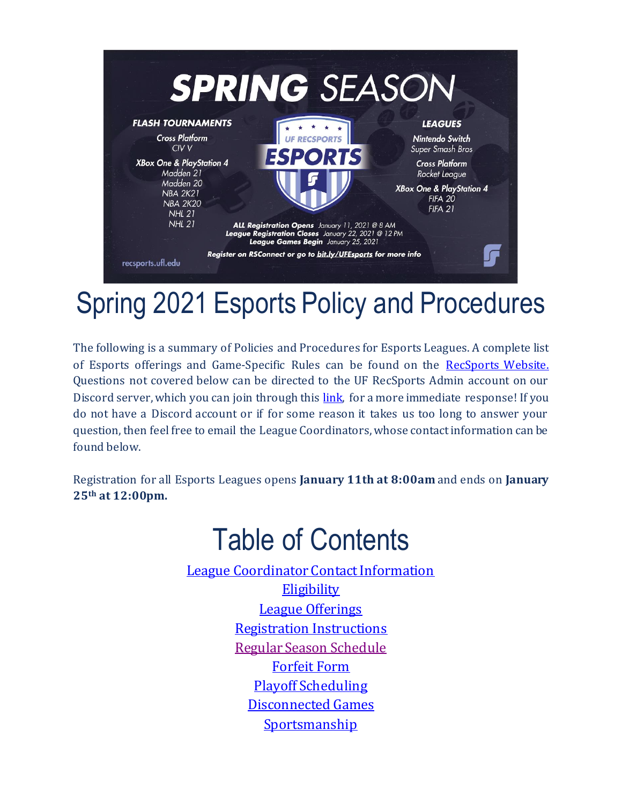

# Spring 2021 Esports Policy and Procedures

The following is a summary of Policies and Procedures for Esports Leagues. A complete list of Esports offerings and Game-Specific Rules can be found on the [RecSports Website.](https://recsports.ufl.edu/sports/esports/)  Questions not covered below can be directed to the UF RecSports Admin account on our Discord server, which you can join through this [link,](https://discord.gg/UCJ6CRZ) for a more immediate response! If you do not have a Discord account or if for some reason it takes us too long to answer your question, then feel free to email the League Coordinators, whose contact information can be found below.

Registration for all Esports Leagues opens **January 11th at 8:00am** and ends on **January 25th at 12:00pm.**

# Table of Contents

[League Coordinator Contact Information](#page-1-0) **[Eligibility](#page-1-1)** [League Offerings](#page-1-2) [Registration Instructions](#page-1-3) [Regular Season Schedule](#page-1-4) [Forfeit Form](#page-2-0) [Playoff Scheduling](#page-2-1) [Disconnected Games](#page-2-2) **[Sportsmanship](#page-3-0)**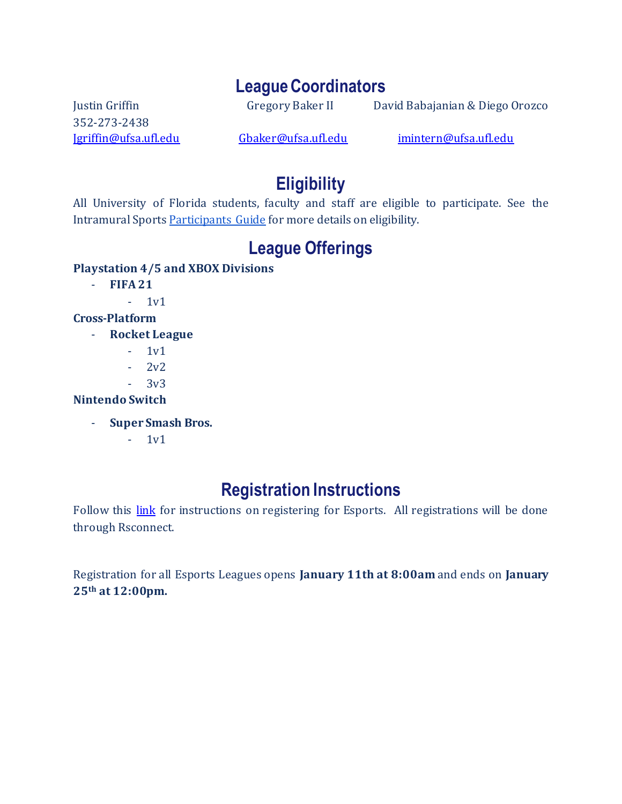#### **LeagueCoordinators**

352-273-2438

<span id="page-1-0"></span>Justin Griffin Gregory Baker II David Babajanian & Diego Orozco

<span id="page-1-1"></span>[Jgriffin@ufsa.ufl.edu](mailto:Jgriffin@ufsa.ufl.edu) [Gbaker@ufsa.ufl.edu](mailto:Gbaker@ufsa.ufl.edu) [imintern@ufsa.ufl.edu](mailto:imintern@ufsa.ufl.edu)

# **Eligibility**

All University of Florida students, faculty and staff are eligible to participate. See the Intramural Sport[s Participants Guide](https://recsports.ufl.edu/wp-content/uploads/2019/09/2019-Intramural-Sports-Participants-Guide.pdf) for more details on eligibility.

# **League Offerings**

#### <span id="page-1-2"></span>**Playstation 4/5 and XBOX Divisions**

- **FIFA 21**
	- 1v1

#### **Cross-Platform**

- **Rocket League**
	- 1v1
	- $2v^2$
	- $-3v3$

#### **Nintendo Switch**

- **Super Smash Bros.** 
	- 1v1

# **Registration Instructions**

<span id="page-1-3"></span>Follow this [link](https://recsports.ufl.edu/sports/intramural-sports/registration-process/) for instructions on registering for Esports. All registrations will be done through Rsconnect.

<span id="page-1-4"></span>Registration for all Esports Leagues opens **January 11th at 8:00am** and ends on **January 25th at 12:00pm.**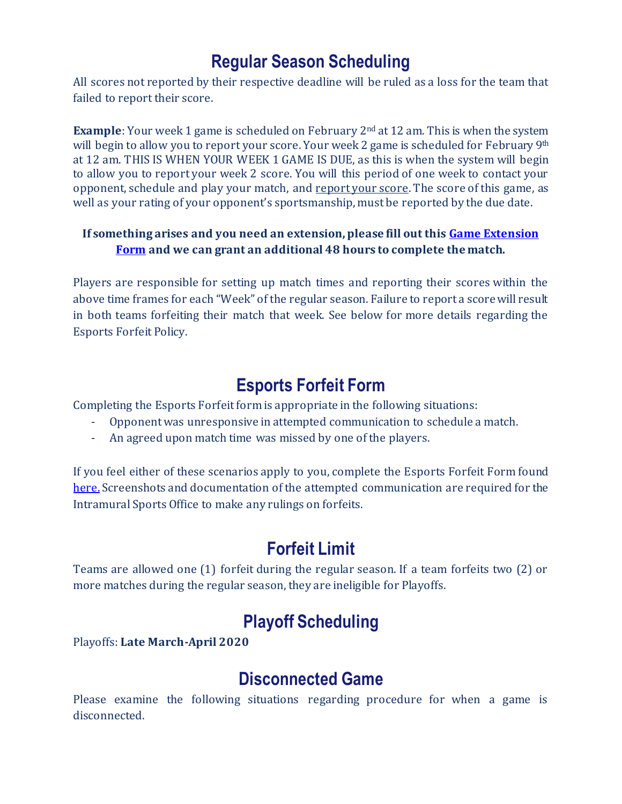### **Regular Season Scheduling**

All scores not reported by their respective deadline will be ruled as a loss for the team that failed to report their score.

**Example**: Your week 1 game is scheduled on February 2<sup>nd</sup> at 12 am. This is when the system will begin to allow you to report your score. Your week 2 game is scheduled for February 9<sup>th</sup> at 12 am. THIS IS WHEN YOUR WEEK 1 GAME IS DUE, as this is when the system will begin to allow you to report your week 2 score. You will this period of one week to contact your opponent, schedule and play your match, and report your score. The score of this game, as well as your rating of your opponent's sportsmanship, must be reported by the due date.

#### **If something arises and you need an extension, please fill out thi[s Game Extension](https://forms.gle/WT7oZjReffzmV8TJ6)  [Form](https://forms.gle/WT7oZjReffzmV8TJ6) and we can grant an additional 48 hours to complete the match.**

Players are responsible for setting up match times and reporting their scores within the above time frames for each "Week" of the regular season. Failure to report a score will result in both teams forfeiting their match that week. See below for more details regarding the Esports Forfeit Policy.

# **Esports Forfeit Form**

<span id="page-2-0"></span>Completing the Esports Forfeit form is appropriate in the following situations:

- Opponent was unresponsive in attempted communication to schedule a match.
- An agreed upon match time was missed by one of the players.

If you feel either of these scenarios apply to you, complete the Esports Forfeit Form found [here.](https://docs.google.com/forms/d/e/1FAIpQLSf5SMusB7AaykrRR8MQzSUqvrl51eH9K8_p90gC1_7CRI7Puw/viewform?usp=sf_link) Screenshots and documentation of the attempted communication are required for the Intramural Sports Office to make any rulings on forfeits.

### **Forfeit Limit**

Teams are allowed one (1) forfeit during the regular season. If a team forfeits two (2) or more matches during the regular season, they are ineligible for Playoffs.

# **Playoff Scheduling**

<span id="page-2-1"></span>Playoffs: **Late March-April 2020**

#### **Disconnected Game**

<span id="page-2-2"></span>Please examine the following situations regarding procedure for when a game is disconnected.